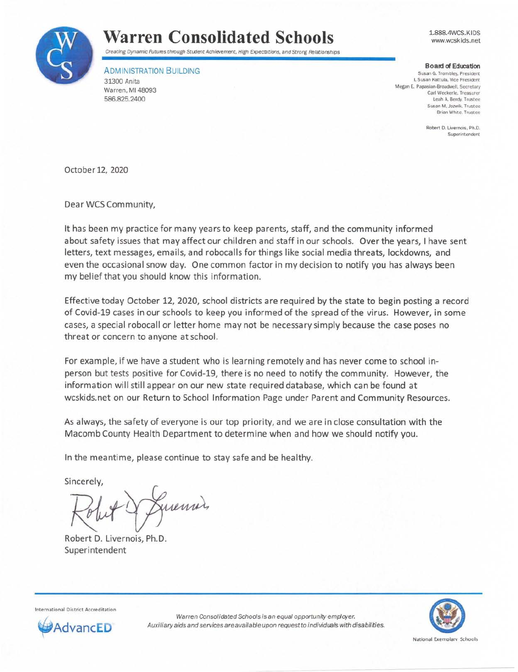

## **Warren Consolidated Schools**

1.888.4WCS.KIDS www.wcsk ids.net

Creating Dynamic Futures through Student Achievement, High Expectations, and Strong Relationships

ADMINISTRATION BUILDING 31300 Anita Warren, MI 48093 586.825.2400

**Board of Education** Susan G. Trombley, President **I. Susan Kattula. Vice President Megan E. Papasian•Broadwell. Secretary Carl Weckerle. Treasurer Leah A. Berdy, Trustee Susan M. Jozwik. Trustee Brian White, Trustee** 

> **Robert D. Livernois, Ph.D. Superintendent**

October 12, 2020

Dear WCS Community,

It has been my practice for many years to keep parents, staff, and the community informed about safety issues that may affect our children and staff in our schools. Over the years, I have sent letters, text messages, emails, and robocalls for things like social media threats, lockdowns, and even the occasional snow day. One common factor in my decision to notify you has always been my belief that you should know this information.

Effective today October 12, 2020, school districts are required by the state to begin posting a record of Covid-19 cases in our schools to keep you informed of the spread of the virus. However, in some cases, a special robocall or letter home may not be necessary simply because the case poses no threat or concern to anyone at school.

For example, if we have a student who is learning remotely and has never come to school inperson but tests positive for Covid-19, there is no need to notify the community. However, the information will still appear on our new state required database, which can be found at wcskids.net on our Return to School Information Page under Parent and Community Resources.

As always, the safety of everyone is our top priority, and we are in close consultation with the Macomb County Health Department to determine when and how we should notify you.

In the meantime, please continue to stay safe and be healthy.

Sincerely,

incerely,<br>Robert 9 Juenni).

Robert D. Livernois, Ph.D. Superintendent

**International District Accreditation** 



Warren Consolidated Schools is an equal opportunity employer. **dvancED** Auxiliary aids and services are available upon request to individuals with disabilities.